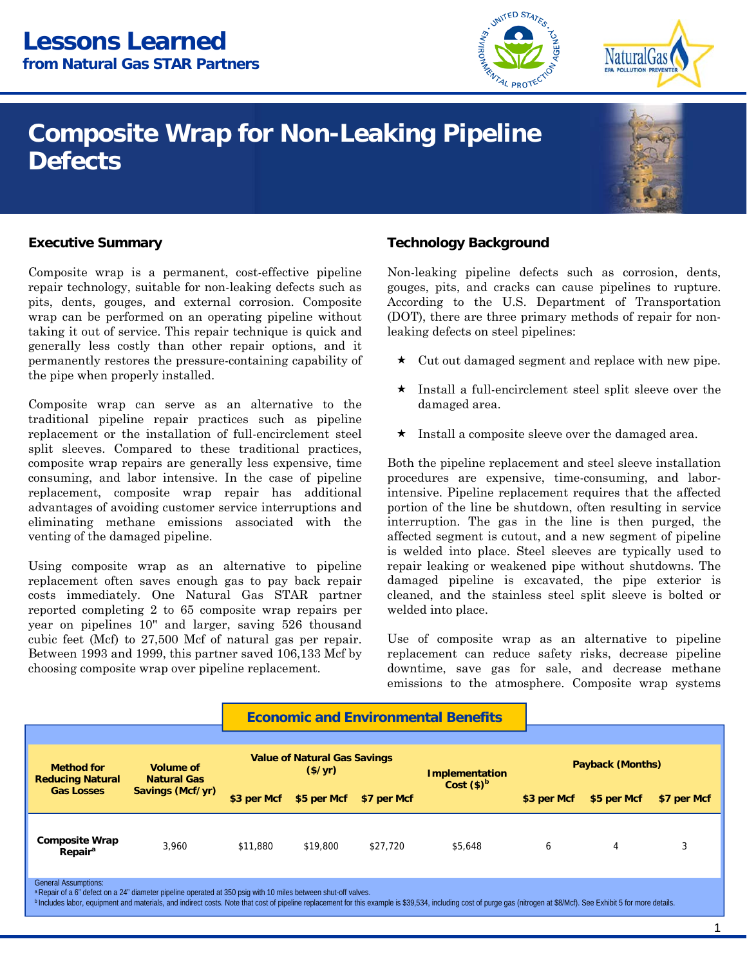# **Composite Wrap for Non-Leaking Pipeline Defects**



**NaturalGas** 

# **Executive Summary**

Composite wrap is a permanent, cost-effective pipeline repair technology, suitable for non-leaking defects such as pits, dents, gouges, and external corrosion. Composite wrap can be performed on an operating pipeline without taking it out of service. This repair technique is quick and generally less costly than other repair options, and it permanently restores the pressure-containing capability of the pipe when properly installed.

Composite wrap can serve as an alternative to the traditional pipeline repair practices such as pipeline replacement or the installation of full-encirclement steel split sleeves. Compared to these traditional practices, composite wrap repairs are generally less expensive, time consuming, and labor intensive. In the case of pipeline replacement, composite wrap repair has additional advantages of avoiding customer service interruptions and eliminating methane emissions associated with the venting of the damaged pipeline. Executive Summary<br>
Composite wrap is a permanent, cost-effective pipeline Mon-leaking pipeline defect<br>
pipeline chendogy, suitable for non-leaking defects such as<br>
groups, then the U.S. Despite, the cutor of a proformed o

choosing composite wrap over pipeline replacement. Using composite wrap as an alternative to pipeline replacement often saves enough gas to pay back repair costs immediately. One Natural Gas STAR partner reported completing 2 to 65 composite wrap repairs per year on pipelines 10'' and larger, saving 526 thousand cubic feet (Mcf) to 27,500 Mcf of natural gas per repair. Between 1993 and 1999, this partner saved 106,133 Mcf by

Non-leaking pipeline defects such as corrosion, dents, gouges, pits, and cracks can cause pipelines to rupture. According to the U.S. Department of Transportation (DOT), there are three primary methods of repair for nonleaking defects on steel pipelines:

**AL PROTEC** 

- $\star$  Cut out damaged segment and replace with new pipe.
- $\star$  Install a full-encirclement steel split sleeve over the damaged area.
- Install a composite sleeve over the damaged area.

 intensive. Pipeline replacement requires that the affected Both the pipeline replacement and steel sleeve installation procedures are expensive, time-consuming, and laborportion of the line be shutdown, often resulting in service interruption. The gas in the line is then purged, the affected segment is cutout, and a new segment of pipeline is welded into place. Steel sleeves are typically used to repair leaking or weakened pipe without shutdowns. The damaged pipeline is excavated, the pipe exterior is cleaned, and the stainless steel split sleeve is bolted or welded into place.

Use of composite wrap as an alternative to pipeline replacement can reduce safety risks, decrease pipeline downtime, save gas for sale, and decrease methane emissions to the atmosphere. Composite wrap systems

|                                                                                                                                                                                                                                                                                                                                                                                    |                                                     | <b>Economic and Environmental Benefits</b>     |             |             |                       |                  |             |             |  |
|------------------------------------------------------------------------------------------------------------------------------------------------------------------------------------------------------------------------------------------------------------------------------------------------------------------------------------------------------------------------------------|-----------------------------------------------------|------------------------------------------------|-------------|-------------|-----------------------|------------------|-------------|-------------|--|
|                                                                                                                                                                                                                                                                                                                                                                                    |                                                     |                                                |             |             |                       |                  |             |             |  |
| <b>Method for</b><br><b>Reducing Natural</b><br><b>Gas Losses</b>                                                                                                                                                                                                                                                                                                                  | Volume of<br><b>Natural Gas</b><br>Savings (Mcf/yr) | <b>Value of Natural Gas Savings</b><br>(\$/yr) |             |             | <b>Implementation</b> | Payback (Months) |             |             |  |
|                                                                                                                                                                                                                                                                                                                                                                                    |                                                     | \$3 per Mcf                                    | \$5 per Mcf | \$7 per Mcf | Cost $(\$)^b$         | \$3 per Mcf      | \$5 per Mcf | \$7 per Mcf |  |
| <b>Composite Wrap</b><br>Repair <sup>a</sup>                                                                                                                                                                                                                                                                                                                                       | 3.960                                               | \$11,880                                       | \$19,800    | \$27,720    | \$5,648               | 6                | 4           |             |  |
| <b>General Assumptions:</b><br>a Repair of a 6" defect on a 24" diameter pipeline operated at 350 psig with 10 miles between shut-off valves.<br><sup>b</sup> Includes labor, equipment and materials, and indirect costs. Note that cost of pipeline replacement for this example is \$39,534, including cost of purge gas (nitrogen at \$8/Mcf). See Exhibit 5 for more details. |                                                     |                                                |             |             |                       |                  |             |             |  |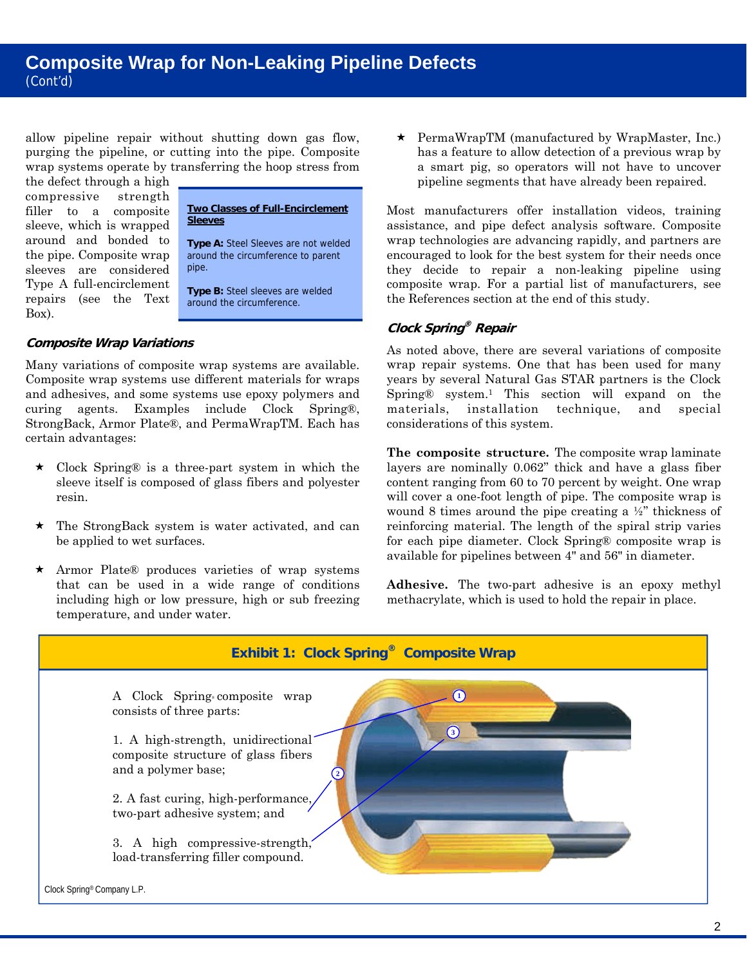allow pipeline repair without shutting down gas flow, purging the pipeline, or cutting into the pipe. Composite wrap systems operate by transferring the hoop stress from

the defect through a high compressive strength sleeve, which is wrapped around and bonded to **Type A:** Steel Sleeves are not welded<br>the pipe. Composite wrap around the circumference to parent sleeves are considered Type A full-encirclement **Type B:** Steel sleeves are welded repairs (see the Text around the circumference. Box).

# filler to a composite **Two Classes of Full-Encirclement**

around the circumference to parent<br>pipe.

# **Composite Wrap Variations**

Many variations of composite wrap systems are available. Composite wrap systems use different materials for wraps and adhesives, and some systems use epoxy polymers and curing agents. Examples include Clock Spring®, StrongBack, Armor Plate®, and PermaWrapTM. Each has certain advantages:

- Clock Spring® is a three-part system in which the sleeve itself is composed of glass fibers and polyester resin.
- The StrongBack system is water activated, and can be applied to wet surfaces.
- temperature, and under water. Armor Plate® produces varieties of wrap systems that can be used in a wide range of conditions including high or low pressure, high or sub freezing

has a feature to allow detection of a previous wrap by a smart pig, so operators will not have to uncover pipeline segments that have already been repaired.

 the References section at the end of this study. Most manufacturers offer installation videos, training assistance, and pipe defect analysis software. Composite wrap technologies are advancing rapidly, and partners are encouraged to look for the best system for their needs once they decide to repair a non-leaking pipeline using composite wrap. For a partial list of manufacturers, see

# **Clock Spring® Repair**

 considerations of this system. As noted above, there are several variations of composite wrap repair systems. One that has been used for many years by several Natural Gas STAR partners is the Clock Spring® system.1 This section will expand on the materials, installation technique, and special

pieline repair without shutting down gas flow. <br>
Some the properties are an interesting the properties are an interesting the properties operator of a particular particular content by transferring the hoop stress from<br>
sy **The composite structure.** The composite wrap laminate layers are nominally 0.062" thick and have a glass fiber content ranging from 60 to 70 percent by weight. One wrap will cover a one-foot length of pipe. The composite wrap is wound 8 times around the pipe creating a ½" thickness of reinforcing material. The length of the spiral strip varies for each pipe diameter. Clock Spring® composite wrap is available for pipelines between 4" and 56" in diameter.

**Adhesive.** The two-part adhesive is an epoxy methyl methacrylate, which is used to hold the repair in place.

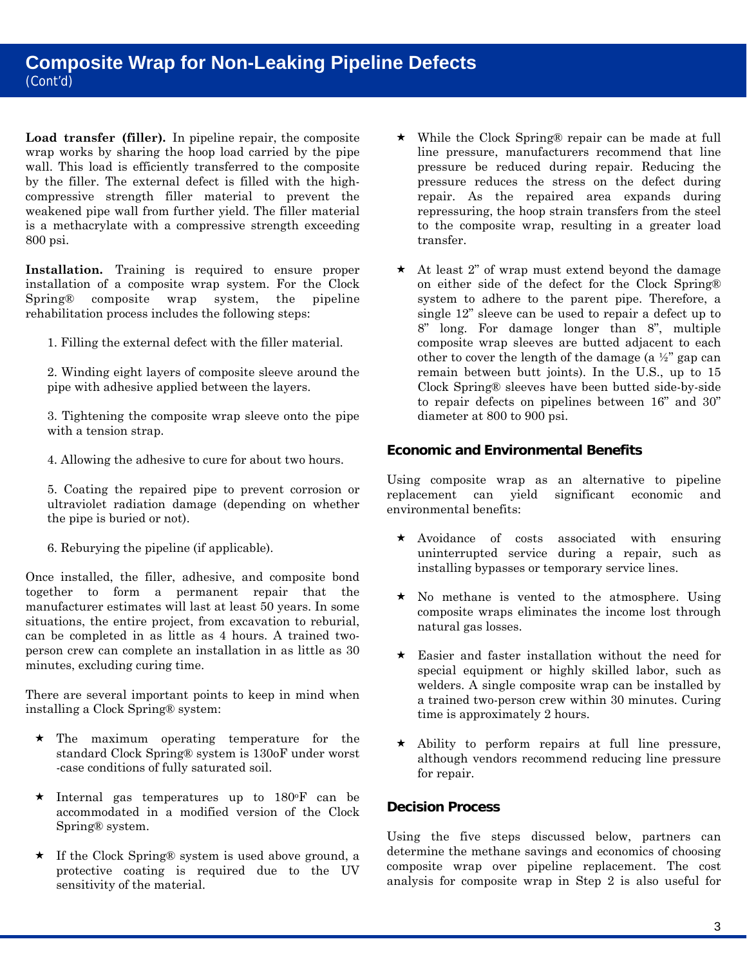**Load transfer (filler).** In pipeline repair, the composite wrap works by sharing the hoop load carried by the pipe wall. This load is efficiently transferred to the composite by the filler. The external defect is filled with the highcompressive strength filler material to prevent the weakened pipe wall from further yield. The filler material is a methacrylate with a compressive strength exceeding 800 psi.

rehabilitation process includes the following steps: **Installation.** Training is required to ensure proper installation of a composite wrap system. For the Clock Spring® composite wrap system, the pipeline

1. Filling the external defect with the filler material.

2. Winding eight layers of composite sleeve around the pipe with adhesive applied between the layers.

3. Tightening the composite wrap sleeve onto the pipe with a tension strap.

4. Allowing the adhesive to cure for about two hours.

the pipe is buried or not). 5. Coating the repaired pipe to prevent corrosion or ultraviolet radiation damage (depending on whether

6. Reburying the pipeline (if applicable).

Once installed, the filler, adhesive, and composite bond together to form a permanent repair that the manufacturer estimates will last at least 50 years. In some situations, the entire project, from excavation to reburial, can be completed in as little as 4 hours. A trained twoperson crew can complete an installation in as little as 30 minutes, excluding curing time.

There are several important points to keep in mind when installing a Clock Spring® system:

- $\star$  The maximum operating temperature for the standard Clock Spring® system is 130oF under worst -case conditions of fully saturated soil.
- $\star$  Internal gas temperatures up to 180 $\textdegree$ F can be accommodated in a modified version of the Clock Spring® system.
- If the Clock Spring® system is used above ground, a protective coating is required due to the UV sensitivity of the material.
- While the Clock Spring® repair can be made at full line pressure, manufacturers recommend that line pressure be reduced during repair. Reducing the pressure reduces the stress on the defect during repair. As the repaired area expands during repressuring, the hoop strain transfers from the steel to the composite wrap, resulting in a greater load transfer.
- $\star$  At least 2" of wrap must extend beyond the damage on either side of the defect for the Clock Spring® system to adhere to the parent pipe. Therefore, a single 12" sleeve can be used to repair a defect up to 8" long. For damage longer than 8", multiple composite wrap sleeves are butted adjacent to each other to cover the length of the damage (a ½" gap can remain between butt joints). In the U.S., up to 15 Clock Spring® sleeves have been butted side-by-side to repair defects on pipelines between 16" and 30" diameter at 800 to 900 psi.

# **Economic and Environmental Benefits**

Using composite wrap as an alternative to pipeline replacement can yield significant economic and environmental benefits:

- installing bypasses or temporary service lines.  $\star$  Avoidance of costs associated with ensuring uninterrupted service during a repair, such as
- $\star$  No methane is vented to the atmosphere. Using composite wraps eliminates the income lost through natural gas losses.
- $\star$  Easier and faster installation without the need for special equipment or highly skilled labor, such as welders. A single composite wrap can be installed by a trained two-person crew within 30 minutes. Curing time is approximately 2 hours.
- $\star$  Ability to perform repairs at full line pressure, although vendors recommend reducing line pressure for repair.

# **Decision Process**

Using the five steps discussed below, partners can determine the methane savings and economics of choosing composite wrap over pipeline replacement. The cost analysis for composite wrap in Step 2 is also useful for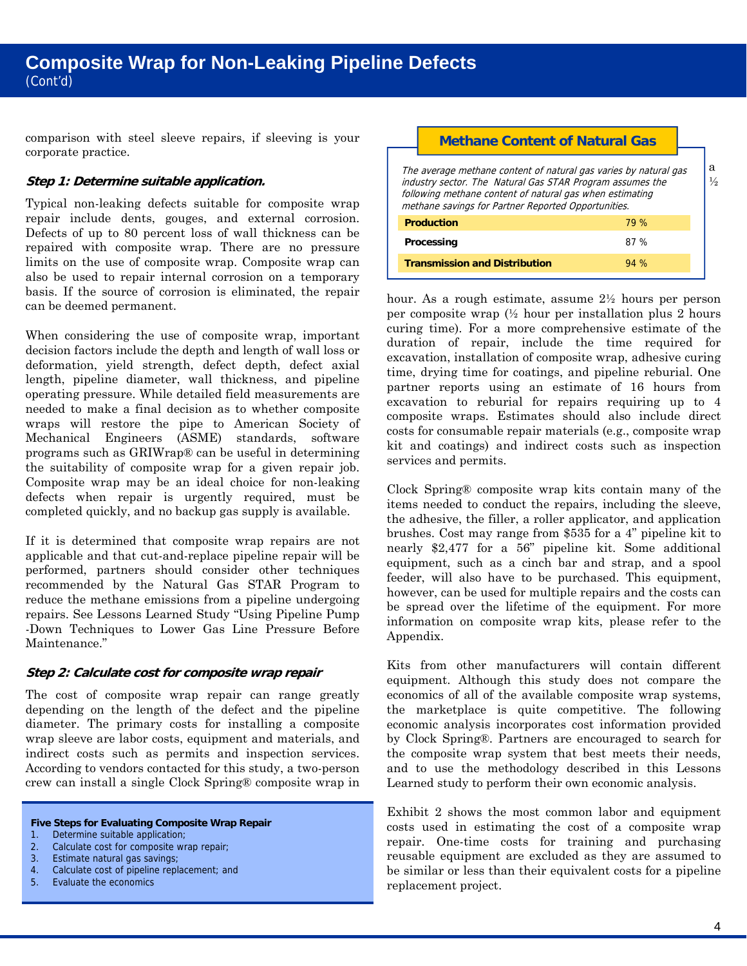comparison with steel sleeve repairs, if sleeving is your corporate practice.

# **Step 1: Determine suitable application.**

can be deemed permanent. Typical non-leaking defects suitable for composite wrap repair include dents, gouges, and external corrosion. Defects of up to 80 percent loss of wall thickness can be repaired with composite wrap. There are no pressure limits on the use of composite wrap. Composite wrap can also be used to repair internal corrosion on a temporary basis. If the source of corrosion is eliminated, the repair

When considering the use of composite wrap, important decision factors include the depth and length of wall loss or deformation, yield strength, defect depth, defect axial length, pipeline diameter, wall thickness, and pipeline operating pressure. While detailed field measurements are needed to make a final decision as to whether composite wraps will restore the pipe to American Society of Mechanical Engineers (ASME) standards, software programs such as GRIWrap® can be useful in determining the suitability of composite wrap for a given repair job. Composite wrap may be an ideal choice for non-leaking defects when repair is urgently required, must be completed quickly, and no backup gas supply is available.

If it is determined that composite wrap repairs are not applicable and that cut-and-replace pipeline repair will be performed, partners should consider other techniques recommended by the Natural Gas STAR Program to reduce the methane emissions from a pipeline undergoing repairs. See Lessons Learned Study "Using Pipeline Pump -Down Techniques to Lower Gas Line Pressure Before Maintenance."

#### **Step 2: Calculate cost for composite wrap repair**

The cost of composite wrap repair can range greatly depending on the length of the defect and the pipeline diameter. The primary costs for installing a composite wrap sleeve are labor costs, equipment and materials, and indirect costs such as permits and inspection services. According to vendors contacted for this study, a two-person crew can install a single Clock Spring® composite wrap in

#### **Five Steps for Evaluating Composite Wrap Repair**

- 1. Determine suitable application;
- 2. Calculate cost for composite wrap repair;
- 3. Estimate natural gas savings;
- 4. Calculate cost of pipeline replacement; and
- 4. Calculate cost of Figure 1.<br>5. Evaluate the economics

#### **Methane Content of Natural Gas**

 methane savings for Partner Reported Opportunities. The average methane content of natural gas varies by natural gas industry sector. The Natural Gas STAR Program assumes the following methane content of natural gas when estimating

| <b>Production</b>                    | 79 % |
|--------------------------------------|------|
| Processing                           | 87 % |
| <b>Transmission and Distribution</b> | 94%  |

hour. As a rough estimate, assume 2½ hours per person per composite wrap (½ hour per installation plus 2 hours curing time). For a more comprehensive estimate of the duration of repair, include the time required for excavation, installation of composite wrap, adhesive curing time, drying time for coatings, and pipeline reburial. One partner reports using an estimate of 16 hours from excavation to reburial for repairs requiring up to 4 composite wraps. Estimates should also include direct costs for consumable repair materials (e.g., composite wrap kit and coatings) and indirect costs such as inspection services and permits.

 be spread over the lifetime of the equipment. For more Clock Spring® composite wrap kits contain many of the items needed to conduct the repairs, including the sleeve, the adhesive, the filler, a roller applicator, and application brushes. Cost may range from \$535 for a 4" pipeline kit to nearly \$2,477 for a 56" pipeline kit. Some additional equipment, such as a cinch bar and strap, and a spool feeder, will also have to be purchased. This equipment, however, can be used for multiple repairs and the costs can information on composite wrap kits, please refer to the Appendix.

 Learned study to perform their own economic analysis. Kits from other manufacturers will contain different equipment. Although this study does not compare the economics of all of the available composite wrap systems, the marketplace is quite competitive. The following economic analysis incorporates cost information provided by Clock Spring®. Partners are encouraged to search for the composite wrap system that best meets their needs, and to use the methodology described in this Lessons

 be similar or less than their equivalent costs for a pipeline replacement project. Exhibit 2 shows the most common labor and equipment costs used in estimating the cost of a composite wrap repair. One-time costs for training and purchasing reusable equipment are excluded as they are assumed to

a  $\frac{1}{2}$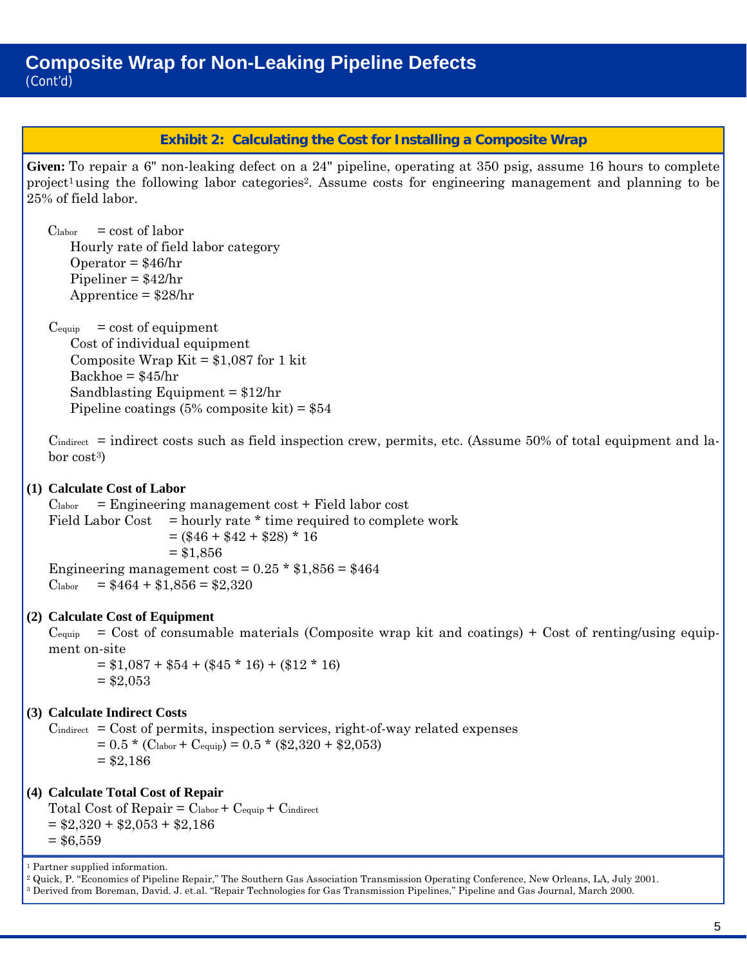# **Exhibit 2: Calculating the Cost for Installing a Composite Wrap**

**Given:** To repair a 6" non-leaking defect on a 24" pipeline, operating at 350 psig, assume 16 hours to complete project<sup>1</sup> using the following labor categories<sup>2</sup>. Assume costs for engineering management and planning to be 25% of field labor.

 $\mathbf{C}$ labor  $=$  cost of labor Hourly rate of field labor category Operator =  $$46/hr$ Pipeliner = \$42/hr Apprentice = \$28/hr

 $C_{\text{equiv}}$  $=$  cost of equipment Cost of individual equipment Composite Wrap Kit =  $$1,087$  for 1 kit  $Backhoe = $45/hr$ Sandblasting Equipment = \$12/hr Pipeline coatings  $(5\%$  composite kit) = \$54

 $C_{indirect}$  = indirect costs such as field inspection crew, permits, etc. (Assume 50% of total equipment and labor cost3)

# **(1) Calculate Cost of Labor**

 $C<sub>labor</sub>$  = Engineering management cost + Field labor cost  $\mathrm{Clabor}$ Field Labor Cost  $=$  hourly rate  $*$  time required to complete work  $=$  (\$46 + \$42 + \$28) \* 16  $= $1,856$ Engineering management cost =  $0.25 * $1,856 = $464$  $= $464 + $1,856 = $2,320$ 

# **(2) Calculate Cost of Equipment**

 $C_{\text{equiv}}$  $=$  Cost of consumable materials (Composite wrap kit and coatings) + Cost of renting/using equipment on-site

 $= $1,087 + $54 + ($45 * 16) + ($12 * 16)$  $= $2,053$ 

# **(3) Calculate Indirect Costs**

 $C_{indirect}$  =  $Cost$  of permits, inspection services, right-of-way related expenses  $= 0.5 * (C<sub>labor</sub> + C<sub>equip</sub>) = 0.5 * ($2,320 + $2,053)$  $= $2,186$ 

# **(4) Calculate Total Cost of Repair**

Total Cost of  $\text{Replace} = \text{Clabor} + \text{Cequip} + \text{Cindirect}$  $= $2,320 + $2,053 + $2,186$  $= $6,559$ 

1 Partner supplied information.

<sup>2</sup> Quick, P. "Economics of Pipeline Repair," The Southern Gas Association Transmission Operating Conference, New Orleans, LA, July 2001.<br><sup>3</sup> Derived from Boreman, David. J. et.al. "Repair Technologies for Gas Transmission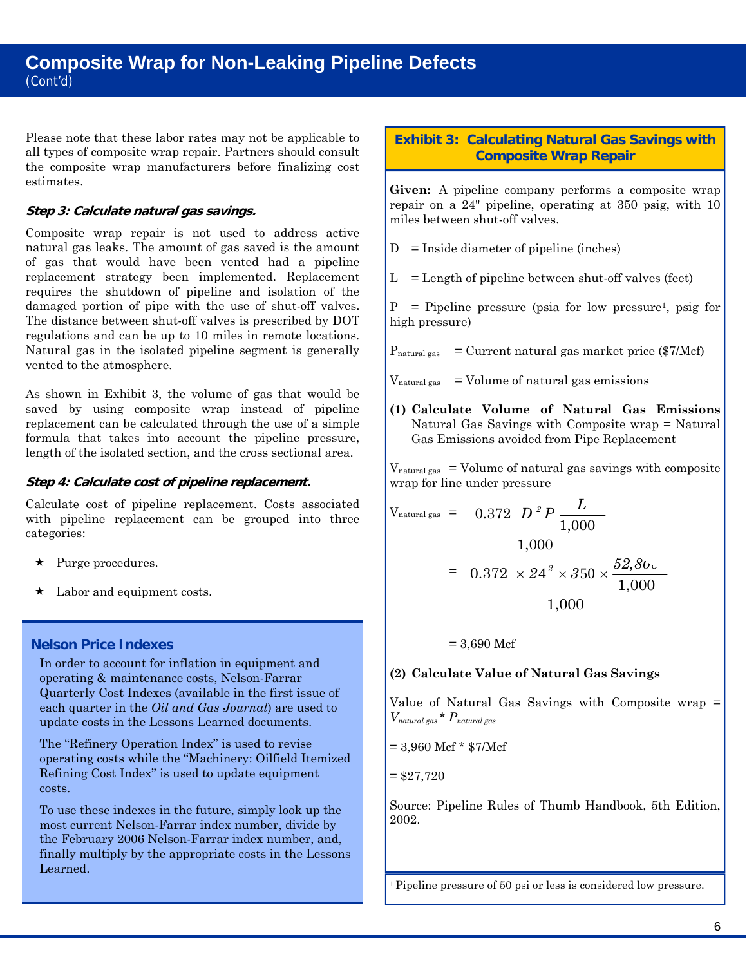Please note that these labor rates may not be applicable to all types of composite wrap repair. Partners should consult the composite wrap manufacturers before finalizing cost estimates.

### **Step 3: Calculate natural gas savings.**

 of gas that would have been vented had a pipeline vented to the atmosphere. Composite wrap repair is not used to address active natural gas leaks. The amount of gas saved is the amount replacement strategy been implemented. Replacement requires the shutdown of pipeline and isolation of the damaged portion of pipe with the use of shut-off valves. The distance between shut-off valves is prescribed by DOT regulations and can be up to 10 miles in remote locations. Natural gas in the isolated pipeline segment is generally

 length of the isolated section, and the cross sectional area. As shown in Exhibit 3, the volume of gas that would be saved by using composite wrap instead of pipeline replacement can be calculated through the use of a simple formula that takes into account the pipeline pressure,

### **Step 4: Calculate cost of pipeline replacement.**

Calculate cost of pipeline replacement. Costs associated with pipeline replacement can be grouped into three categories:

- $\star$  Purge procedures.
- $\star$  Labor and equipment costs.

# **Nelson Price Indexes**

In order to account for inflation in equipment and operating & maintenance costs, Nelson-Farrar Quarterly Cost Indexes (available in the first issue of each quarter in the *Oil and Gas Journal*) are used to update costs in the Lessons Learned documents.

The "Refinery Operation Index" is used to revise operating costs while the "Machinery: Oilfield Itemized Refining Cost Index" is used to update equipment costs.

To use these indexes in the future, simply look up the most current Nelson-Farrar index number, divide by the February 2006 Nelson-Farrar index number, and, finally multiply by the appropriate costs in the Lessons Learned.

# **Exhibit 3: Calculating Natural Gas Savings with Composite Wrap Repair**

**Given:** A pipeline company performs a composite wrap repair on a 24" pipeline, operating at 350 psig, with 10 miles between shut-off valves.

 $D =$  Inside diameter of pipeline (inches)

 $L =$ Length of pipeline between shut-off valves (feet)

 $P =$  Pipeline pressure (psia for low pressure<sup>1</sup>, psig for high pressure)

 $P_{\text{natural gas}} =$  Current natural gas market price (\$7/Mcf)

 $V<sub>natural gas</sub>$  = Volume of natural gas emissions

**(1) Calculate Volume of Natural Gas Emissions**  Natural Gas Savings with Composite wrap = Natural Gas Emissions avoided from Pipe Replacement

 $V<sub>natural gas</sub> = Volume of natural gas savings with composite$ wrap for line under pressure

$$
V_{\text{natural gas}} = 0.372 \t D^2 P \frac{L}{1,000}
$$
  
= 0.372 \t x 24<sup>2</sup> \t x 350 \t x  $\frac{52,80}{1,000}$   
= 1,000

 $= 3,690$  Mcf

# **(2) Calculate Value of Natural Gas Savings**

 Value of Natural Gas Savings with Composite wrap = *Vnatural gas* \* *Pnatural gas* 

 $= 3,960$  Mcf  $*$  \$7/Mcf

 $= $27,720$ 

Source: Pipeline Rules of Thumb Handbook, 5th Edition, 2002.

<sup>1</sup> Pipeline pressure of 50 psi or less is considered low pressure.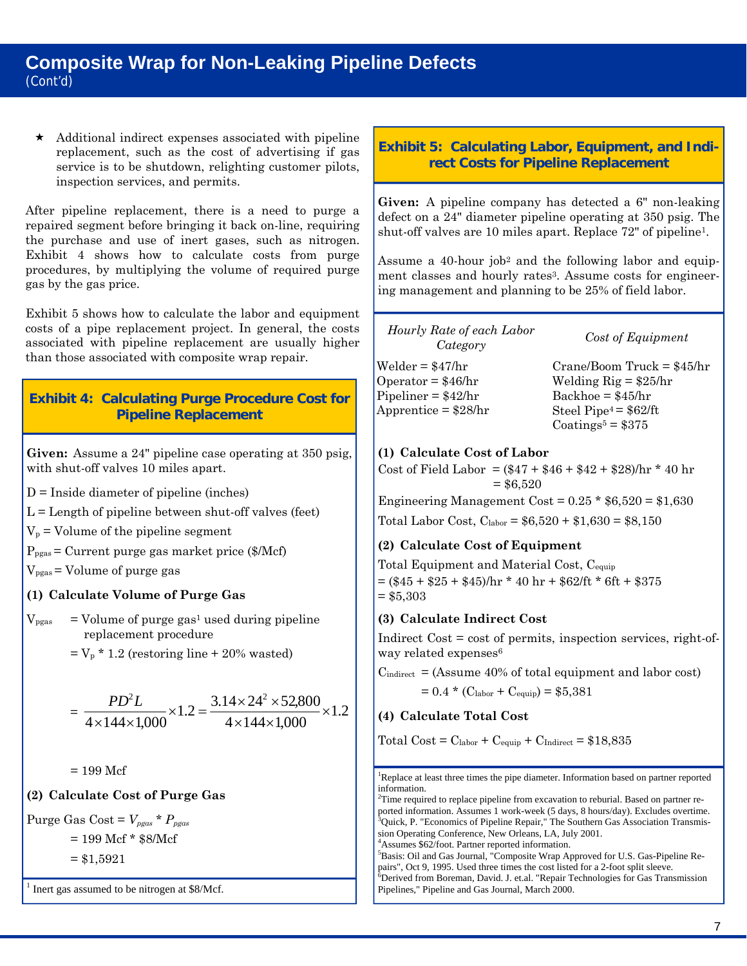# **Composite Wrap for Non-Leaking Pipeline Defects**  (Cont'd)

inspection services, and permits.  $\star$  Additional indirect expenses associated with pipeline replacement, such as the cost of advertising if gas service is to be shutdown, relighting customer pilots,

After pipeline replacement, there is a need to purge a repaired segment before bringing it back on-line, requiring the purchase and use of inert gases, such as nitrogen. Exhibit 4 shows how to calculate costs from purge procedures, by multiplying the volume of required purge gas by the gas price.

 than those associated with composite wrap repair. Exhibit 5 shows how to calculate the labor and equipment costs of a pipe replacement project. In general, the costs associated with pipeline replacement are usually higher

# **Exhibit 4: Calculating Purge Procedure Cost for Pipeline Replacement**

**Given:** Assume a 24" pipeline case operating at 350 psig, with shut-off valves 10 miles apart.

 $D =$ Inside diameter of pipeline (inches)

D = Inside diameter of pipeline (inches)<br>L = Length of pipeline between shut-off valves (feet)<br>V<sub>p</sub> = Volume of the pipeline segment

 $P_{\text{pgas}} =$  Current purge gas market price (\$/Mcf)

 $V_{\text{pqas}}$  = Volume of purge gas

# **(1) Calculate Volume of Purge Gas**

 $V_{\text{pgas}}$  = Volume of purge gas<sup>1</sup> used during pipeline replacement procedure

 $=$  V<sub>p</sub>  $*$  1.2 (restoring line  $+$  20% wasted)

$$
= \frac{PD^2L}{4 \times 144 \times 1,000} \times 1.2 = \frac{3.14 \times 24^2 \times 52,800}{4 \times 144 \times 1,000} \times 1.2
$$

 $= 199$  Mcf

**(2) Calculate Cost of Purge Gas** 

 $\text{Purge Gas Cost} = V_{pgas} * P_{pgas}$  $= 199$  Mcf  $*$  \$8/Mcf  $= $1,5921$ 

<sup>1</sup> Inert gas assumed to be nitrogen at \$8/Mcf.

# **Exhibit 5: Calculating Labor, Equipment, and Indirect Costs for Pipeline Replacement**

**Given:** A pipeline company has detected a 6" non-leaking defect on a 24" diameter pipeline operating at 350 psig. The shut-off valves are 10 miles apart. Replace 72" of pipeline<sup>1</sup>.

Assume a 40-hour job<sup>2</sup> and the following labor and equipment classes and hourly rates<sup>3</sup>. Assume costs for engineering management and planning to be 25% of field labor.

*Category Hourly Rate of each Labor* 

Welder = \$47/hr Operator =  $$46/hr$ Pipeliner = \$42/hr Apprentice = \$28/hr *Category Cost of Equipment* 

Crane/Boom Truck = \$45/hr Welding  $\text{Rig} = $25/\text{hr}$  $Backhoe = $45/hr$ Steel Pipe $4 = $62/ft$  $\text{Coatings}^5 = $375$ 

# **(1) Calculate Cost of Labor**

Cost of Field Labor =  $(\$47 + \$46 + \$42 + \$28)$ /hr \* 40 hr  $= $6,520$ 

Engineering Management Cost =  $0.25 * $6,520 = $1,630$ 

Total Labor Cost,  $C_{\text{labor}} = $6,520 + $1,630 = $8,150$ 

# **(2) Calculate Cost of Equipment**

 Total Equipment and Material Cost, Cequip  $=$  (\$45 + \$25 + \$45)/hr \* 40 hr + \$62/ft \* 6ft + \$375  $= $5,303$ 

# **(3) Calculate Indirect Cost**

way related expenses<sup>6</sup> Indirect Cost = cost of permits, inspection services, right-of-

 $C_{indirect}$  = (Assume 40% of total equipment and labor cost)

$$
= 0.4 * (C_{\text{labor}} + C_{\text{equip}}) = $5,381
$$

# **(4) Calculate Total Cost**

Total  $Cost = C_{labor} + C_{equiv} + C_{Indirect} = $18,835$ 

information.<br> $2\pi$ ima maxim <sup>1</sup>Replace at least three times the pipe diameter. Information based on partner reported

ported information. Assumes 1 work-week (5 days, 8 hours/day). Excludes overtime.<br><sup>3</sup>Oviek B. "Economics of Binoline Bensir." The Southern Gos Association Transmis. sion Operating Conference, New Orleans, LA, July 2001. <sup>2</sup>Time required to replace pipeline from excavation to reburial. Based on partner re- $\beta$ Quick, P. "Economics of Pipeline Repair," The Southern Gas Association Transmis-

<sup>4</sup> Assumes \$62/foot. Partner reported information. <sup>5</sup>Basis: Oil and Gas Journal, "Composite Wrap Approved for U.S. Gas-Pipeline Re-

 Derived from Boreman, David. J. et.al. "Repair Technologies for Gas Transmission pairs", Oct 9, 1995. Used three times the cost listed for a 2-foot split sleeve. Pipelines," Pipeline and Gas Journal, March 2000.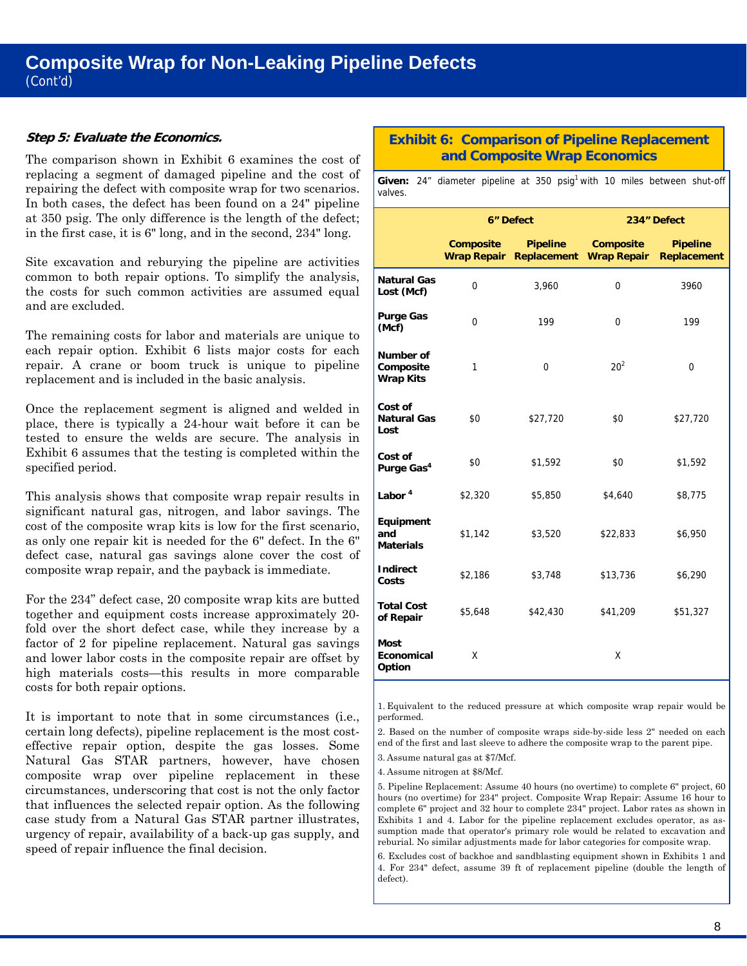# **Composite Wrap for Non-Leaking Pipeline Defects**  (Cont'd)

#### **Step 5: Evaluate the Economics.**

The comparison shown in Exhibit 6 examines the cost of replacing a segment of damaged pipeline and the cost of repairing the defect with composite wrap for two scenarios. In both cases, the defect has been found on a 24" pipeline at 350 psig. The only difference is the length of the defect; in the first case, it is 6" long, and in the second, 234" long.

and are excluded. Site excavation and reburying the pipeline are activities common to both repair options. To simplify the analysis, the costs for such common activities are assumed equal

The remaining costs for labor and materials are unique to each repair option. Exhibit 6 lists major costs for each repair. A crane or boom truck is unique to pipeline replacement and is included in the basic analysis.

Once the replacement segment is aligned and welded in place, there is typically a 24-hour wait before it can be tested to ensure the welds are secure. The analysis in Exhibit 6 assumes that the testing is completed within the specified period.

composite wrap repair, and the payback is immediate. This analysis shows that composite wrap repair results in significant natural gas, nitrogen, and labor savings. The cost of the composite wrap kits is low for the first scenario, as only one repair kit is needed for the 6" defect. In the 6" defect case, natural gas savings alone cover the cost of

For the 234" defect case, 20 composite wrap kits are butted. together and equipment costs increase approximately 20 fold over the short defect case, while they increase by a factor of 2 for pipeline replacement. Natural gas savings and lower labor costs in the composite repair are offset by high materials costs—this results in more comparable costs for both repair options.

It is important to note that in some circumstances (i.e., certain long defects), pipeline replacement is the most costeffective repair option, despite the gas losses. Some Natural Gas STAR partners, however, have chosen composite wrap over pipeline replacement in these circumstances, underscoring that cost is not the only factor that influences the selected repair option. As the following case study from a Natural Gas STAR partner illustrates, urgency of repair, availability of a back-up gas supply, and speed of repair influence the final decision.

# **Exhibit 6: Comparison of Pipeline Replacement and Composite Wrap Economics**

Given: 24" diameter pipeline at 350 psig<sup>1</sup> with 10 miles between shut-off valves.

|                                            |                                 | 6" Defect                      | 234" Defect                     |                                       |  |
|--------------------------------------------|---------------------------------|--------------------------------|---------------------------------|---------------------------------------|--|
|                                            | Composite<br><b>Wrap Repair</b> | <b>Pipeline</b><br>Replacement | Composite<br><b>Wrap Repair</b> | <b>Pipeline</b><br><b>Replacement</b> |  |
| <b>Natural Gas</b><br>Lost (Mcf)           | $\Omega$                        | 3,960                          | $\Omega$                        | 3960                                  |  |
| <b>Purge Gas</b><br>(Mcf)                  | $\Omega$                        | 199                            | $\Omega$                        | 199                                   |  |
| Number of<br>Composite<br><b>Wrap Kits</b> | 1                               | 0                              | $20^{2}$                        | 0                                     |  |
| Cost of<br><b>Natural Gas</b><br>Lost      | \$0                             | \$27,720                       | \$0                             | \$27,720                              |  |
| Cost of<br>Purge Gas <sup>4</sup>          | \$0                             | \$1,592                        | \$0                             | \$1,592                               |  |
| Labor <sup>4</sup>                         | \$2,320                         | \$5,850                        | \$4,640                         | \$8,775                               |  |
| Equipment<br>and<br><b>Materials</b>       | \$1,142                         | \$3,520                        | \$22,833                        | \$6,950                               |  |
| <b>Indirect</b><br>Costs                   | \$2,186                         | \$3,748                        | \$13,736                        | \$6,290                               |  |
| <b>Total Cost</b><br>of Repair             | \$5,648                         | \$42,430                       | \$41,209                        | \$51,327                              |  |
| <b>Most</b><br>Economical<br>Option        | X                               |                                | X                               |                                       |  |

1. Equivalent to the reduced pressure at which composite wrap repair would be

 end of the first and last sleeve to adhere the composite wrap to the parent pipe. performed. 2. Based on the number of composite wraps side-by-side less 2" needed on each

3. Assume natural gas at \$7/Mcf.

4. Assume nitrogen at \$8/Mcf.

 sumption made that operator's primary role would be related to excavation and 5. Pipeline Replacement: Assume 40 hours (no overtime) to complete 6" project, 60 hours (no overtime) for 234" project. Composite Wrap Repair: Assume 16 hour to complete 6" project and 32 hour to complete 234" project. Labor rates as shown in Exhibits 1 and 4. Labor for the pipeline replacement excludes operator, as asreburial. No similar adjustments made for labor categories for composite wrap. 6. Excludes cost of backhoe and sandblasting equipment shown in Exhibits 1 and

4. For 234" defect, assume 39 ft of replacement pipeline (double the length of defect).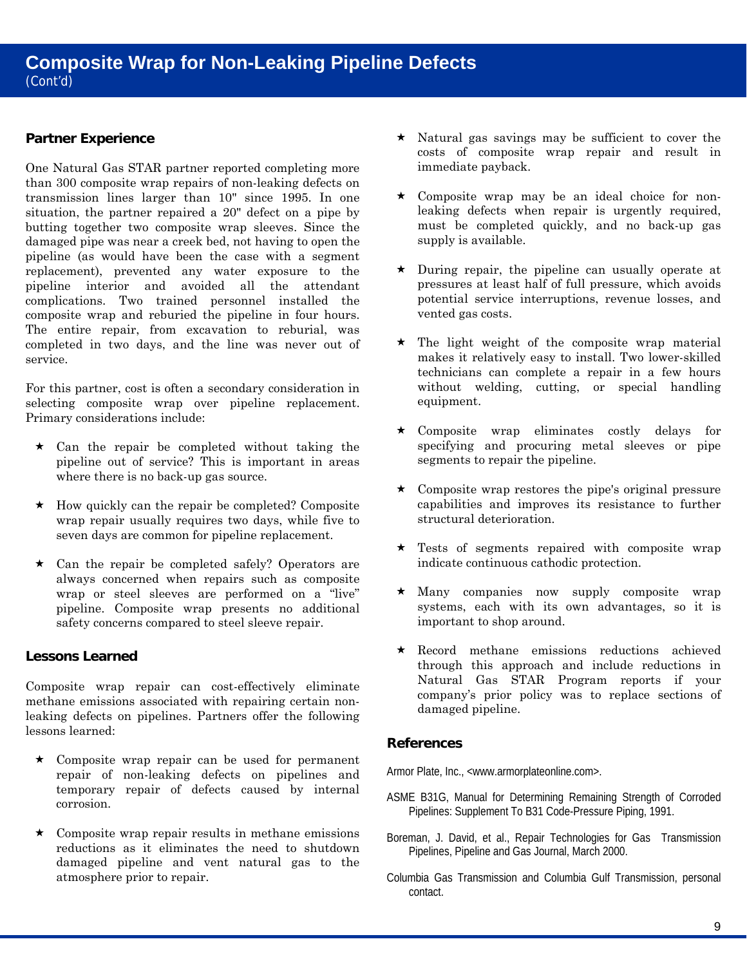# **Partner Experience**

One Natural Gas STAR partner reported completing more than 300 composite wrap repairs of non-leaking defects on transmission lines larger than 10" since 1995. In one situation, the partner repaired a 20" defect on a pipe by butting together two composite wrap sleeves. Since the damaged pipe was near a creek bed, not having to open the pipeline (as would have been the case with a segment replacement), prevented any water exposure to the pipeline interior and avoided all the attendant complications. Two trained personnel installed the composite wrap and reburied the pipeline in four hours. The entire repair, from excavation to reburial, was completed in two days, and the line was never out of service.

For this partner, cost is often a secondary consideration in selecting composite wrap over pipeline replacement. Primary considerations include:

- where there is no back-up gas source.  $\star$  Can the repair be completed without taking the pipeline out of service? This is important in areas
- $\star$  How quickly can the repair be completed? Composite wrap repair usually requires two days, while five to seven days are common for pipeline replacement.
- $\star$  Can the repair be completed safely? Operators are always concerned when repairs such as composite wrap or steel sleeves are performed on a "live" pipeline. Composite wrap presents no additional safety concerns compared to steel sleeve repair.

# **Lessons Learned**

Composite wrap repair can cost-effectively eliminate methane emissions associated with repairing certain nonleaking defects on pipelines. Partners offer the following lessons learned:

- $\star$  Composite wrap repair can be used for permanent repair of non-leaking defects on pipelines and temporary repair of defects caused by internal corrosion.
- $\star$  Composite wrap repair results in methane emissions reductions as it eliminates the need to shutdown damaged pipeline and vent natural gas to the atmosphere prior to repair.
- $\star$  Natural gas savings may be sufficient to cover the costs of composite wrap repair and result in immediate payback.
- Composite wrap may be an ideal choice for nonleaking defects when repair is urgently required, must be completed quickly, and no back-up gas supply is available.
- $\star$  During repair, the pipeline can usually operate at pressures at least half of full pressure, which avoids potential service interruptions, revenue losses, and vented gas costs.
- makes it relatively easy to install. Two lower-skilled equipment.  $\star$  The light weight of the composite wrap material technicians can complete a repair in a few hours without welding, cutting, or special handling
- Composite wrap eliminates costly delays for specifying and procuring metal sleeves or pipe segments to repair the pipeline.
- Composite wrap restores the pipe's original pressure capabilities and improves its resistance to further structural deterioration.
- Tests of segments repaired with composite wrap indicate continuous cathodic protection.
- important to shop around. Many companies now supply composite wrap systems, each with its own advantages, so it is
- Record methane emissions reductions achieved through this approach and include reductions in Natural Gas STAR Program reports if your company's prior policy was to replace sections of damaged pipeline.

# **References**

Armor Plate, Inc., <[www.armorplateonline.com>.](http://www.armorplateonline.com) 

- ASME B31G, Manual for Determining Remaining Strength of Corroded Pipelines: Supplement To B31 Code-Pressure Piping, 1991.
- Boreman, J. David, et al., Repair Technologies for Gas Transmission Pipelines, Pipeline and Gas Journal, March 2000.
- Columbia Gas Transmission and Columbia Gulf Transmission, personal contact.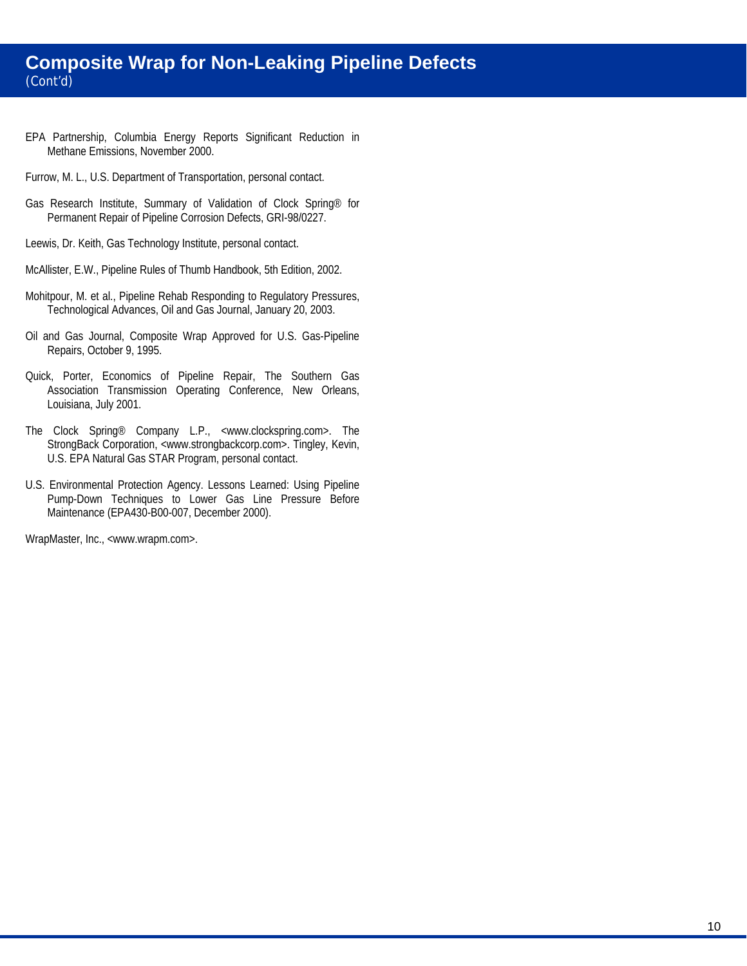# **Composite Wrap for Non-Leaking Pipeline Defects**  (Cont'd)

- EPA Partnership, Columbia Energy Reports Significant Reduction in Methane Emissions, November 2000.
- Furrow, M. L., U.S. Department of Transportation, personal contact.
- Gas Research Institute, Summary of Validation of Clock Spring® for Permanent Repair of Pipeline Corrosion Defects, GRI-98/0227.
- Leewis, Dr. Keith, Gas Technology Institute, personal contact.
- McAllister, E.W., Pipeline Rules of Thumb Handbook, 5th Edition, 2002.
- Mohitpour, M. et al., Pipeline Rehab Responding to Regulatory Pressures, Technological Advances, Oil and Gas Journal, January 20, 2003.
- Oil and Gas Journal, Composite Wrap Approved for U.S. Gas-Pipeline Repairs, October 9, 1995.
- Quick, Porter, Economics of Pipeline Repair, The Southern Gas Association Transmission Operating Conference, New Orleans, Louisiana, July 2001.
- The Clock Spring® Company L.P., [<www.clockspring.com>. T](http://www.clockspring.com)he StrongBack Corporation, <[www.strongbackcorp.com>. Tin](http://www.strongbackcorp.com)gley, Kevin, U.S. EPA Natural Gas STAR Program, personal contact.
- U.S. Environmental Protection Agency. Lessons Learned: Using Pipeline Pump-Down Techniques to Lower Gas Line Pressure Before Maintenance (EPA430-B00-007, December 2000).

WrapMaster, Inc., <[www.wrapm.com>.](http://www.wrapm.com)